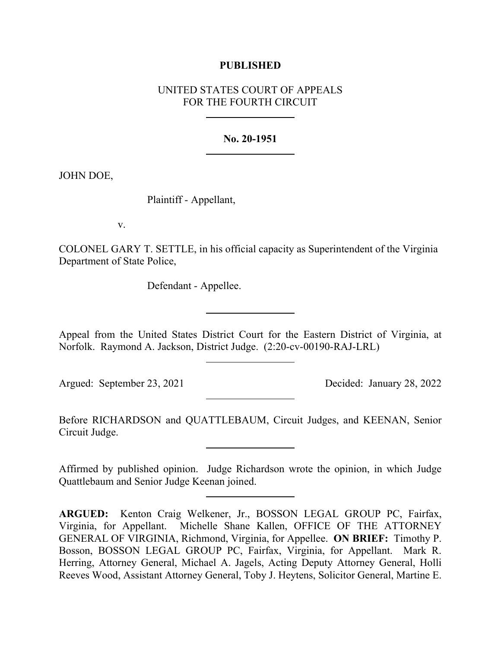## **PUBLISHED**

# UNITED STATES COURT OF APPEALS FOR THE FOURTH CIRCUIT

#### **No. 20-1951**

JOHN DOE,

Plaintiff - Appellant,

v.

COLONEL GARY T. SETTLE, in his official capacity as Superintendent of the Virginia Department of State Police,

Defendant - Appellee.

Appeal from the United States District Court for the Eastern District of Virginia, at Norfolk. Raymond A. Jackson, District Judge. (2:20-cv-00190-RAJ-LRL)

Argued: September 23, 2021 Decided: January 28, 2022

Before RICHARDSON and QUATTLEBAUM, Circuit Judges, and KEENAN, Senior Circuit Judge.

Affirmed by published opinion. Judge Richardson wrote the opinion, in which Judge Quattlebaum and Senior Judge Keenan joined.

**ARGUED:** Kenton Craig Welkener, Jr., BOSSON LEGAL GROUP PC, Fairfax, Virginia, for Appellant. Michelle Shane Kallen, OFFICE OF THE ATTORNEY GENERAL OF VIRGINIA, Richmond, Virginia, for Appellee. **ON BRIEF:** Timothy P. Bosson, BOSSON LEGAL GROUP PC, Fairfax, Virginia, for Appellant. Mark R. Herring, Attorney General, Michael A. Jagels, Acting Deputy Attorney General, Holli Reeves Wood, Assistant Attorney General, Toby J. Heytens, Solicitor General, Martine E.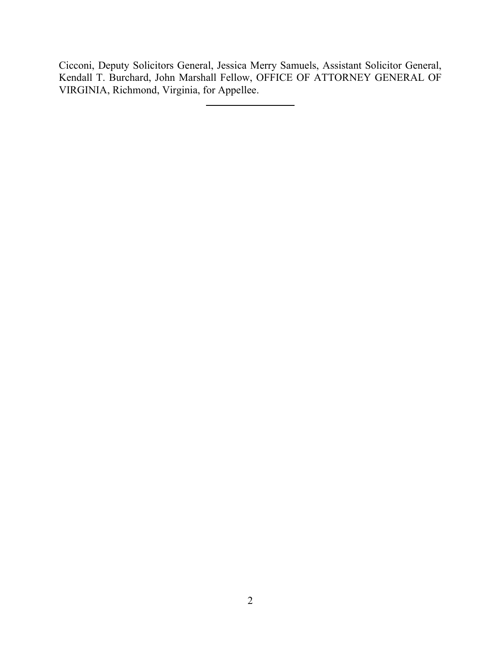Cicconi, Deputy Solicitors General, Jessica Merry Samuels, Assistant Solicitor General, Kendall T. Burchard, John Marshall Fellow, OFFICE OF ATTORNEY GENERAL OF VIRGINIA, Richmond, Virginia, for Appellee.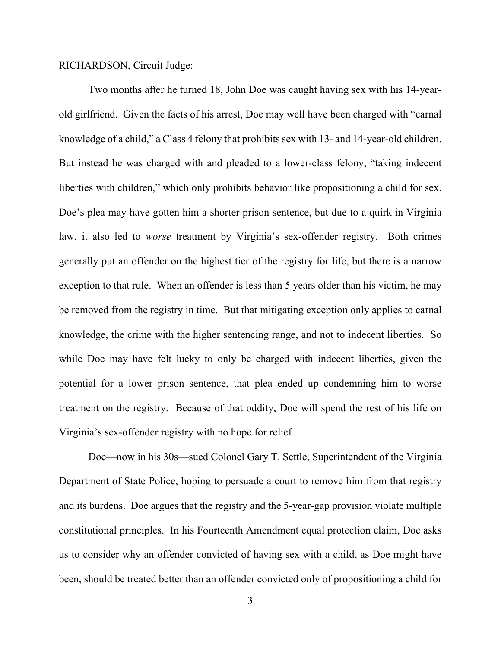RICHARDSON, Circuit Judge:

Two months after he turned 18, John Doe was caught having sex with his 14-yearold girlfriend. Given the facts of his arrest, Doe may well have been charged with "carnal knowledge of a child," a Class 4 felony that prohibits sex with 13- and 14-year-old children. But instead he was charged with and pleaded to a lower-class felony, "taking indecent liberties with children," which only prohibits behavior like propositioning a child for sex. Doe's plea may have gotten him a shorter prison sentence, but due to a quirk in Virginia law, it also led to *worse* treatment by Virginia's sex-offender registry. Both crimes generally put an offender on the highest tier of the registry for life, but there is a narrow exception to that rule. When an offender is less than 5 years older than his victim, he may be removed from the registry in time. But that mitigating exception only applies to carnal knowledge, the crime with the higher sentencing range, and not to indecent liberties. So while Doe may have felt lucky to only be charged with indecent liberties, given the potential for a lower prison sentence, that plea ended up condemning him to worse treatment on the registry. Because of that oddity, Doe will spend the rest of his life on Virginia's sex-offender registry with no hope for relief.

Doe—now in his 30s—sued Colonel Gary T. Settle, Superintendent of the Virginia Department of State Police, hoping to persuade a court to remove him from that registry and its burdens. Doe argues that the registry and the 5-year-gap provision violate multiple constitutional principles. In his Fourteenth Amendment equal protection claim, Doe asks us to consider why an offender convicted of having sex with a child, as Doe might have been, should be treated better than an offender convicted only of propositioning a child for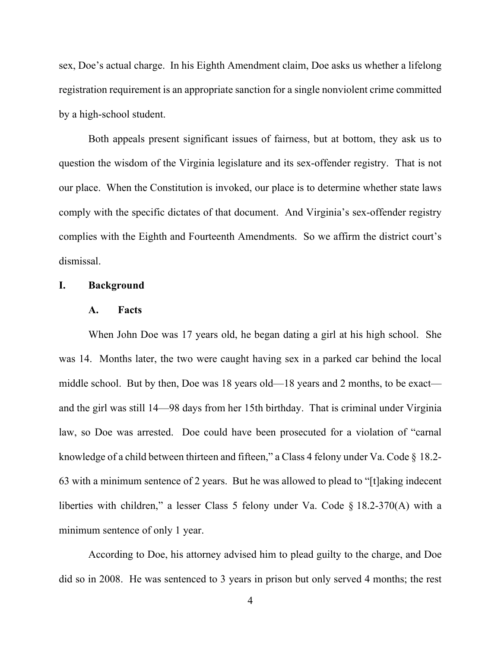sex, Doe's actual charge. In his Eighth Amendment claim, Doe asks us whether a lifelong registration requirement is an appropriate sanction for a single nonviolent crime committed by a high-school student.

Both appeals present significant issues of fairness, but at bottom, they ask us to question the wisdom of the Virginia legislature and its sex-offender registry. That is not our place. When the Constitution is invoked, our place is to determine whether state laws comply with the specific dictates of that document. And Virginia's sex-offender registry complies with the Eighth and Fourteenth Amendments. So we affirm the district court's dismissal.

## **I. Background**

### **A. Facts**

When John Doe was 17 years old, he began dating a girl at his high school. She was 14. Months later, the two were caught having sex in a parked car behind the local middle school. But by then, Doe was 18 years old—18 years and 2 months, to be exact and the girl was still 14—98 days from her 15th birthday. That is criminal under Virginia law, so Doe was arrested. Doe could have been prosecuted for a violation of "carnal knowledge of a child between thirteen and fifteen," a Class 4 felony under Va. Code § 18.2-63 with a minimum sentence of 2 years. But he was allowed to plead to "[t]aking indecent liberties with children," a lesser Class 5 felony under Va. Code § 18.2-370(A) with a minimum sentence of only 1 year.

According to Doe, his attorney advised him to plead guilty to the charge, and Doe did so in 2008. He was sentenced to 3 years in prison but only served 4 months; the rest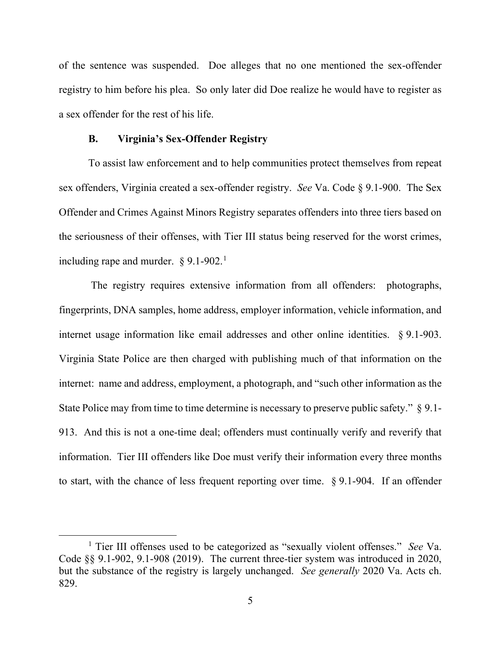of the sentence was suspended. Doe alleges that no one mentioned the sex-offender registry to him before his plea. So only later did Doe realize he would have to register as a sex offender for the rest of his life.

#### **B. Virginia's Sex-Offender Registry**

To assist law enforcement and to help communities protect themselves from repeat sex offenders, Virginia created a sex-offender registry. *See* Va. Code § 9.1-900. The Sex Offender and Crimes Against Minors Registry separates offenders into three tiers based on the seriousness of their offenses, with Tier III status being reserved for the worst crimes, including rape and murder.  $\S 9.1-902$  $\S 9.1-902$  $\S 9.1-902$ <sup>1</sup>

The registry requires extensive information from all offenders: photographs, fingerprints, DNA samples, home address, employer information, vehicle information, and internet usage information like email addresses and other online identities. § 9.1-903. Virginia State Police are then charged with publishing much of that information on the internet: name and address, employment, a photograph, and "such other information as the State Police may from time to time determine is necessary to preserve public safety." § 9.1-913. And this is not a one-time deal; offenders must continually verify and reverify that information. Tier III offenders like Doe must verify their information every three months to start, with the chance of less frequent reporting over time. § 9.1-904. If an offender

<span id="page-4-0"></span><sup>1</sup> Tier III offenses used to be categorized as "sexually violent offenses." *See* Va. Code §§ 9.1-902, 9.1-908 (2019). The current three-tier system was introduced in 2020, but the substance of the registry is largely unchanged. *See generally* 2020 Va. Acts ch. 829.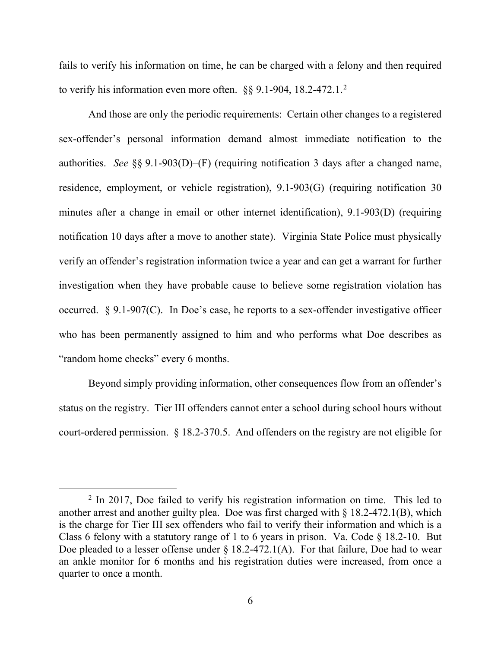fails to verify his information on time, he can be charged with a felony and then required to verify his information even more often.  $\S$ § 9.1-904, 18.[2](#page-5-0)-472.1.<sup>2</sup>

And those are only the periodic requirements: Certain other changes to a registered sex-offender's personal information demand almost immediate notification to the authorities. *See* §§ 9.1-903(D)–(F) (requiring notification 3 days after a changed name, residence, employment, or vehicle registration), 9.1-903(G) (requiring notification 30 minutes after a change in email or other internet identification), 9.1-903(D) (requiring notification 10 days after a move to another state). Virginia State Police must physically verify an offender's registration information twice a year and can get a warrant for further investigation when they have probable cause to believe some registration violation has occurred. § 9.1-907(C). In Doe's case, he reports to a sex-offender investigative officer who has been permanently assigned to him and who performs what Doe describes as "random home checks" every 6 months.

Beyond simply providing information, other consequences flow from an offender's status on the registry. Tier III offenders cannot enter a school during school hours without court-ordered permission. § 18.2-370.5. And offenders on the registry are not eligible for

<span id="page-5-0"></span> $2 \text{ In } 2017$ , Doe failed to verify his registration information on time. This led to another arrest and another guilty plea. Doe was first charged with  $\S$  18.2-472.1(B), which is the charge for Tier III sex offenders who fail to verify their information and which is a Class 6 felony with a statutory range of 1 to 6 years in prison. Va. Code § 18.2-10. But Doe pleaded to a lesser offense under  $\S$  18.2-472.1(A). For that failure, Doe had to wear an ankle monitor for 6 months and his registration duties were increased, from once a quarter to once a month.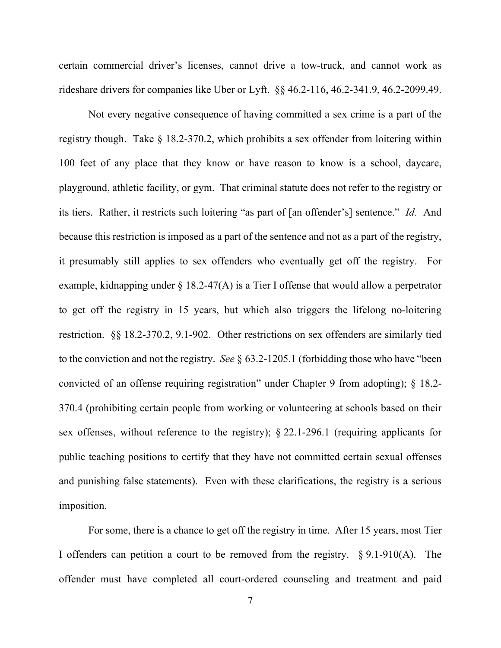certain commercial driver's licenses, cannot drive a tow-truck, and cannot work as rideshare drivers for companies like Uber or Lyft. §§ 46.2-116, 46.2-341.9, 46.2-2099.49.

Not every negative consequence of having committed a sex crime is a part of the registry though. Take § 18.2-370.2, which prohibits a sex offender from loitering within 100 feet of any place that they know or have reason to know is a school, daycare, playground, athletic facility, or gym. That criminal statute does not refer to the registry or its tiers. Rather, it restricts such loitering "as part of [an offender's] sentence." *Id.* And because this restriction is imposed as a part of the sentence and not as a part of the registry, it presumably still applies to sex offenders who eventually get off the registry. For example, kidnapping under  $\S$  18.2-47(A) is a Tier I offense that would allow a perpetrator to get off the registry in 15 years, but which also triggers the lifelong no-loitering restriction. §§ 18.2-370.2, 9.1-902. Other restrictions on sex offenders are similarly tied to the conviction and not the registry. *See* § 63.2-1205.1 (forbidding those who have "been convicted of an offense requiring registration" under Chapter 9 from adopting); § 18.2- 370.4 (prohibiting certain people from working or volunteering at schools based on their sex offenses, without reference to the registry); § 22.1-296.1 (requiring applicants for public teaching positions to certify that they have not committed certain sexual offenses and punishing false statements). Even with these clarifications, the registry is a serious imposition.

For some, there is a chance to get off the registry in time. After 15 years, most Tier I offenders can petition a court to be removed from the registry. § 9.1-910(A). The offender must have completed all court-ordered counseling and treatment and paid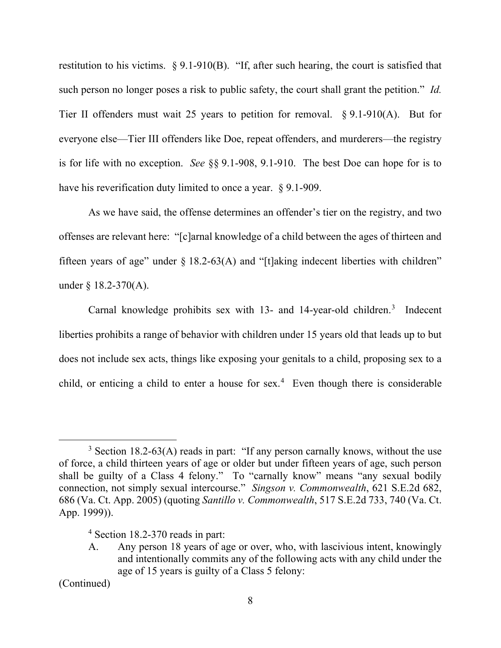restitution to his victims. § 9.1-910(B). "If, after such hearing, the court is satisfied that such person no longer poses a risk to public safety, the court shall grant the petition." *Id.* Tier II offenders must wait 25 years to petition for removal.  $\S 9.1-910(A)$ . But for everyone else—Tier III offenders like Doe, repeat offenders, and murderers—the registry is for life with no exception. *See* §§ 9.1-908, 9.1-910. The best Doe can hope for is to have his reverification duty limited to once a year. § 9.1-909.

As we have said, the offense determines an offender's tier on the registry, and two offenses are relevant here: "[c]arnal knowledge of a child between the ages of thirteen and fifteen years of age" under  $\S$  18.2-63(A) and "[t]aking indecent liberties with children" under § 18.2-370(A).

Carnal knowledge prohibits sex with 1[3](#page-7-0)- and 14-year-old children.<sup>3</sup> Indecent liberties prohibits a range of behavior with children under 15 years old that leads up to but does not include sex acts, things like exposing your genitals to a child, proposing sex to a child, or enticing a child to enter a house for sex.<sup>[4](#page-7-1)</sup> Even though there is considerable

<sup>4</sup> Section 18.2-370 reads in part:

<span id="page-7-1"></span>(Continued)

<span id="page-7-0"></span><sup>&</sup>lt;sup>3</sup> Section 18.2-63(A) reads in part: "If any person carnally knows, without the use of force, a child thirteen years of age or older but under fifteen years of age, such person shall be guilty of a Class 4 felony." To "carnally know" means "any sexual bodily connection, not simply sexual intercourse." *Singson v. Commonwealth*, 621 S.E.2d 682, 686 (Va. Ct. App. 2005) (quoting *Santillo v. Commonwealth*, 517 S.E.2d 733, 740 (Va. Ct. App. 1999)).

A. Any person 18 years of age or over, who, with lascivious intent, knowingly and intentionally commits any of the following acts with any child under the age of 15 years is guilty of a Class 5 felony: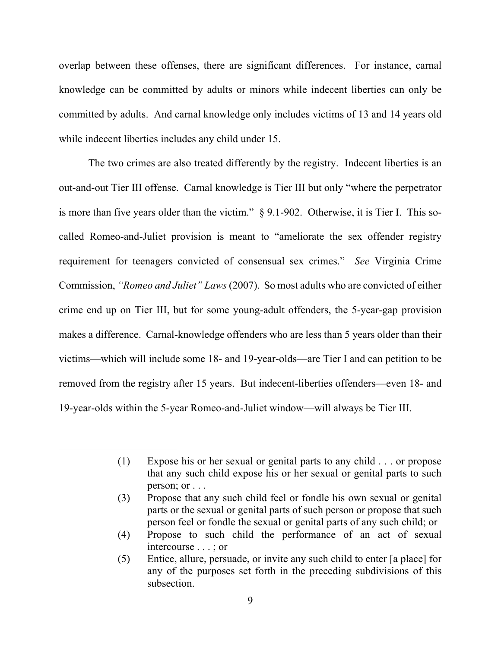overlap between these offenses, there are significant differences. For instance, carnal knowledge can be committed by adults or minors while indecent liberties can only be committed by adults. And carnal knowledge only includes victims of 13 and 14 years old while indecent liberties includes any child under 15.

The two crimes are also treated differently by the registry. Indecent liberties is an out-and-out Tier III offense. Carnal knowledge is Tier III but only "where the perpetrator is more than five years older than the victim." § 9.1-902. Otherwise, it is Tier I. This socalled Romeo-and-Juliet provision is meant to "ameliorate the sex offender registry requirement for teenagers convicted of consensual sex crimes." *See* Virginia Crime Commission, *"Romeo and Juliet" Laws* (2007). So most adults who are convicted of either crime end up on Tier III, but for some young-adult offenders, the 5-year-gap provision makes a difference. Carnal-knowledge offenders who are less than 5 years older than their victims—which will include some 18- and 19-year-olds—are Tier I and can petition to be removed from the registry after 15 years. But indecent-liberties offenders—even 18- and 19-year-olds within the 5-year Romeo-and-Juliet window—will always be Tier III.

- (3) Propose that any such child feel or fondle his own sexual or genital parts or the sexual or genital parts of such person or propose that such person feel or fondle the sexual or genital parts of any such child; or
- (4) Propose to such child the performance of an act of sexual intercourse . . . ; or
- (5) Entice, allure, persuade, or invite any such child to enter [a place] for any of the purposes set forth in the preceding subdivisions of this subsection.

<sup>(1)</sup> Expose his or her sexual or genital parts to any child . . . or propose that any such child expose his or her sexual or genital parts to such person; or . . .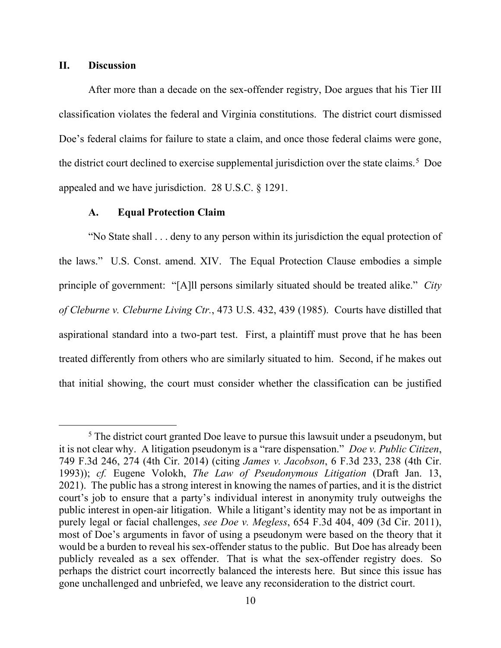### **II. Discussion**

After more than a decade on the sex-offender registry, Doe argues that his Tier III classification violates the federal and Virginia constitutions. The district court dismissed Doe's federal claims for failure to state a claim, and once those federal claims were gone, the district court declined to exercise supplemental jurisdiction over the state claims.<sup>[5](#page-9-0)</sup> Doe appealed and we have jurisdiction. 28 U.S.C. § 1291.

## **A. Equal Protection Claim**

"No State shall . . . deny to any person within its jurisdiction the equal protection of the laws." U.S. Const. amend. XIV. The Equal Protection Clause embodies a simple principle of government: "[A]ll persons similarly situated should be treated alike." *City of Cleburne v. Cleburne Living Ctr.*, 473 U.S. 432, 439 (1985). Courts have distilled that aspirational standard into a two-part test. First, a plaintiff must prove that he has been treated differently from others who are similarly situated to him. Second, if he makes out that initial showing, the court must consider whether the classification can be justified

<span id="page-9-0"></span><sup>&</sup>lt;sup>5</sup> The district court granted Doe leave to pursue this lawsuit under a pseudonym, but it is not clear why. A litigation pseudonym is a "rare dispensation." *Doe v. Public Citizen*, 749 F.3d 246, 274 (4th Cir. 2014) (citing *James v. Jacobson*, 6 F.3d 233, 238 (4th Cir. 1993)); *cf.* Eugene Volokh, *The Law of Pseudonymous Litigation* (Draft Jan. 13, 2021). The public has a strong interest in knowing the names of parties, and it is the district court's job to ensure that a party's individual interest in anonymity truly outweighs the public interest in open-air litigation. While a litigant's identity may not be as important in purely legal or facial challenges, *see Doe v. Megless*, 654 F.3d 404, 409 (3d Cir. 2011), most of Doe's arguments in favor of using a pseudonym were based on the theory that it would be a burden to reveal his sex-offender status to the public. But Doe has already been publicly revealed as a sex offender. That is what the sex-offender registry does. So perhaps the district court incorrectly balanced the interests here. But since this issue has gone unchallenged and unbriefed, we leave any reconsideration to the district court.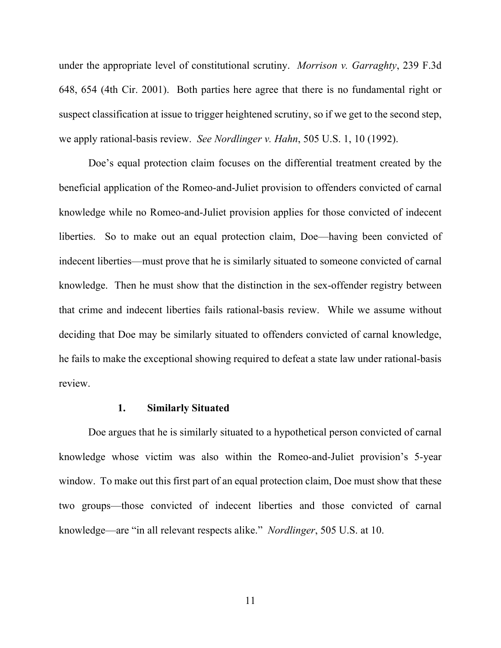under the appropriate level of constitutional scrutiny. *Morrison v. Garraghty*, 239 F.3d 648, 654 (4th Cir. 2001). Both parties here agree that there is no fundamental right or suspect classification at issue to trigger heightened scrutiny, so if we get to the second step, we apply rational-basis review. *See Nordlinger v. Hahn*, 505 U.S. 1, 10 (1992).

Doe's equal protection claim focuses on the differential treatment created by the beneficial application of the Romeo-and-Juliet provision to offenders convicted of carnal knowledge while no Romeo-and-Juliet provision applies for those convicted of indecent liberties. So to make out an equal protection claim, Doe—having been convicted of indecent liberties—must prove that he is similarly situated to someone convicted of carnal knowledge. Then he must show that the distinction in the sex-offender registry between that crime and indecent liberties fails rational-basis review. While we assume without deciding that Doe may be similarly situated to offenders convicted of carnal knowledge, he fails to make the exceptional showing required to defeat a state law under rational-basis review.

#### **1. Similarly Situated**

Doe argues that he is similarly situated to a hypothetical person convicted of carnal knowledge whose victim was also within the Romeo-and-Juliet provision's 5-year window. To make out this first part of an equal protection claim, Doe must show that these two groups—those convicted of indecent liberties and those convicted of carnal knowledge—are "in all relevant respects alike." *Nordlinger*, 505 U.S. at 10.

11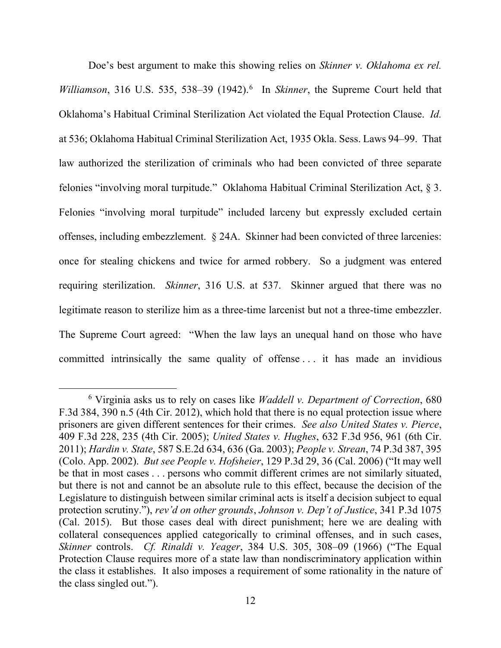Doe's best argument to make this showing relies on *Skinner v. Oklahoma ex rel.*  Williamson, 31[6](#page-11-0) U.S. 535, 538-39 (1942).<sup>6</sup> In *Skinner*, the Supreme Court held that Oklahoma's Habitual Criminal Sterilization Act violated the Equal Protection Clause. *Id.*  at 536; Oklahoma Habitual Criminal Sterilization Act, 1935 Okla. Sess. Laws 94–99. That law authorized the sterilization of criminals who had been convicted of three separate felonies "involving moral turpitude." Oklahoma Habitual Criminal Sterilization Act, § 3. Felonies "involving moral turpitude" included larceny but expressly excluded certain offenses, including embezzlement. § 24A. Skinner had been convicted of three larcenies: once for stealing chickens and twice for armed robbery. So a judgment was entered requiring sterilization. *Skinner*, 316 U.S. at 537. Skinner argued that there was no legitimate reason to sterilize him as a three-time larcenist but not a three-time embezzler. The Supreme Court agreed: "When the law lays an unequal hand on those who have committed intrinsically the same quality of offense . . . it has made an invidious

<span id="page-11-0"></span><sup>6</sup> Virginia asks us to rely on cases like *Waddell v. Department of Correction*, 680 F.3d 384, 390 n.5 (4th Cir. 2012), which hold that there is no equal protection issue where prisoners are given different sentences for their crimes. *See also United States v. Pierce*, 409 F.3d 228, 235 (4th Cir. 2005); *United States v. Hughes*, 632 F.3d 956, 961 (6th Cir. 2011); *Hardin v. State*, 587 S.E.2d 634, 636 (Ga. 2003); *People v. Strean*, 74 P.3d 387, 395 (Colo. App. 2002). *But see People v. Hofsheier*, 129 P.3d 29, 36 (Cal. 2006) ("It may well be that in most cases . . . persons who commit different crimes are not similarly situated, but there is not and cannot be an absolute rule to this effect, because the decision of the Legislature to distinguish between similar criminal acts is itself a decision subject to equal protection scrutiny."), *rev'd on other grounds*, *Johnson v. Dep't of Justice*, 341 P.3d 1075 (Cal. 2015). But those cases deal with direct punishment; here we are dealing with collateral consequences applied categorically to criminal offenses, and in such cases, *Skinner* controls. *Cf. Rinaldi v. Yeager*, 384 U.S. 305, 308–09 (1966) ("The Equal Protection Clause requires more of a state law than nondiscriminatory application within the class it establishes. It also imposes a requirement of some rationality in the nature of the class singled out.").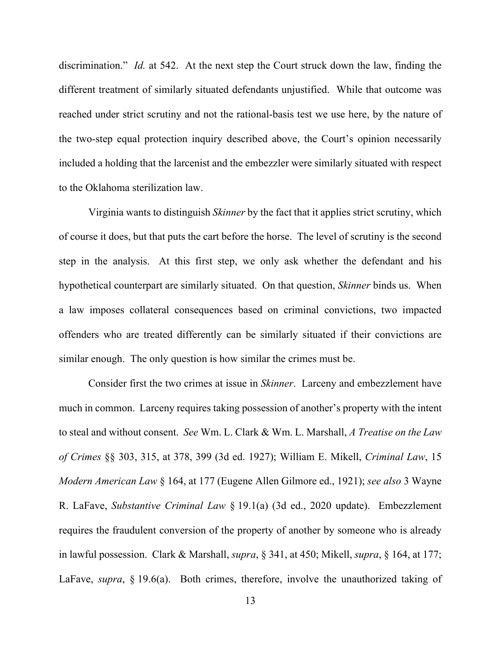discrimination." *Id.* at 542. At the next step the Court struck down the law, finding the different treatment of similarly situated defendants unjustified. While that outcome was reached under strict scrutiny and not the rational-basis test we use here, by the nature of the two-step equal protection inquiry described above, the Court's opinion necessarily included a holding that the larcenist and the embezzler were similarly situated with respect to the Oklahoma sterilization law.

Virginia wants to distinguish *Skinner* by the fact that it applies strict scrutiny, which of course it does, but that puts the cart before the horse. The level of scrutiny is the second step in the analysis. At this first step, we only ask whether the defendant and his hypothetical counterpart are similarly situated. On that question, *Skinner* binds us. When a law imposes collateral consequences based on criminal convictions, two impacted offenders who are treated differently can be similarly situated if their convictions are similar enough. The only question is how similar the crimes must be.

Consider first the two crimes at issue in *Skinner*. Larceny and embezzlement have much in common. Larceny requires taking possession of another's property with the intent to steal and without consent. *See* Wm. L. Clark & Wm. L. Marshall, *A Treatise on the Law of Crimes* §§ 303, 315, at 378, 399 (3d ed. 1927); William E. Mikell, *Criminal Law*, 15 *Modern American Law* § 164, at 177 (Eugene Allen Gilmore ed., 1921); *see also* 3 Wayne R. LaFave, *Substantive Criminal Law* § 19.1(a) (3d ed., 2020 update). Embezzlement requires the fraudulent conversion of the property of another by someone who is already in lawful possession. Clark & Marshall, *supra*, § 341, at 450; Mikell, *supra*, § 164, at 177; LaFave, *supra*, § 19.6(a). Both crimes, therefore, involve the unauthorized taking of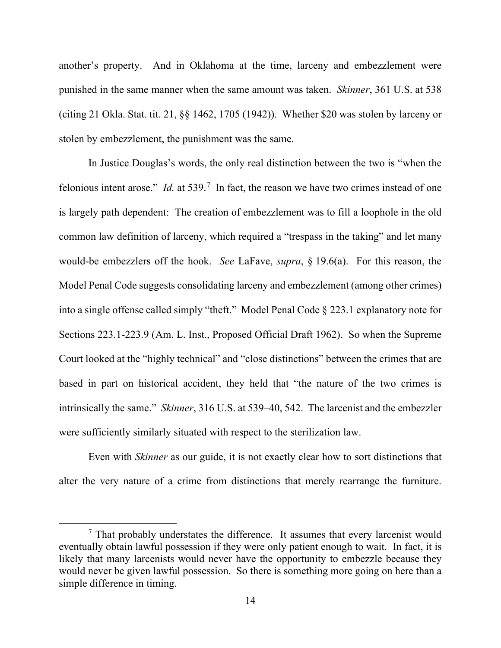another's property. And in Oklahoma at the time, larceny and embezzlement were punished in the same manner when the same amount was taken. *Skinner*, 361 U.S. at 538 (citing 21 Okla. Stat. tit. 21, §§ 1462, 1705 (1942)). Whether \$20 was stolen by larceny or stolen by embezzlement, the punishment was the same.

In Justice Douglas's words, the only real distinction between the two is "when the felonious intent arose." *Id.* at 539.<sup>[7](#page-13-0)</sup> In fact, the reason we have two crimes instead of one is largely path dependent: The creation of embezzlement was to fill a loophole in the old common law definition of larceny, which required a "trespass in the taking" and let many would-be embezzlers off the hook. *See* LaFave, *supra*, § 19.6(a). For this reason, the Model Penal Code suggests consolidating larceny and embezzlement (among other crimes) into a single offense called simply "theft." Model Penal Code § 223.1 explanatory note for Sections 223.1-223.9 (Am. L. Inst., Proposed Official Draft 1962). So when the Supreme Court looked at the "highly technical" and "close distinctions" between the crimes that are based in part on historical accident, they held that "the nature of the two crimes is intrinsically the same." *Skinner*, 316 U.S. at 539–40, 542. The larcenist and the embezzler were sufficiently similarly situated with respect to the sterilization law.

Even with *Skinner* as our guide, it is not exactly clear how to sort distinctions that alter the very nature of a crime from distinctions that merely rearrange the furniture.

<span id="page-13-0"></span> $<sup>7</sup>$  That probably understates the difference. It assumes that every larcenist would</sup> eventually obtain lawful possession if they were only patient enough to wait. In fact, it is likely that many larcenists would never have the opportunity to embezzle because they would never be given lawful possession. So there is something more going on here than a simple difference in timing.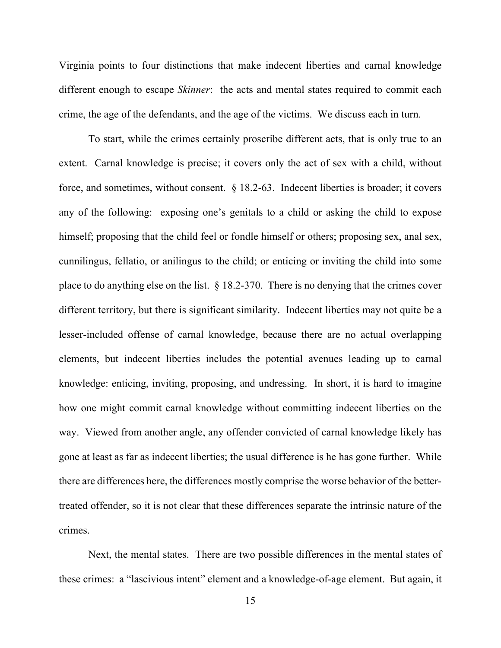Virginia points to four distinctions that make indecent liberties and carnal knowledge different enough to escape *Skinner*: the acts and mental states required to commit each crime, the age of the defendants, and the age of the victims. We discuss each in turn.

To start, while the crimes certainly proscribe different acts, that is only true to an extent. Carnal knowledge is precise; it covers only the act of sex with a child, without force, and sometimes, without consent. § 18.2-63. Indecent liberties is broader; it covers any of the following: exposing one's genitals to a child or asking the child to expose himself; proposing that the child feel or fondle himself or others; proposing sex, anal sex, cunnilingus, fellatio, or anilingus to the child; or enticing or inviting the child into some place to do anything else on the list. § 18.2-370. There is no denying that the crimes cover different territory, but there is significant similarity. Indecent liberties may not quite be a lesser-included offense of carnal knowledge, because there are no actual overlapping elements, but indecent liberties includes the potential avenues leading up to carnal knowledge: enticing, inviting, proposing, and undressing. In short, it is hard to imagine how one might commit carnal knowledge without committing indecent liberties on the way. Viewed from another angle, any offender convicted of carnal knowledge likely has gone at least as far as indecent liberties; the usual difference is he has gone further. While there are differences here, the differences mostly comprise the worse behavior of the bettertreated offender, so it is not clear that these differences separate the intrinsic nature of the crimes.

Next, the mental states. There are two possible differences in the mental states of these crimes: a "lascivious intent" element and a knowledge-of-age element. But again, it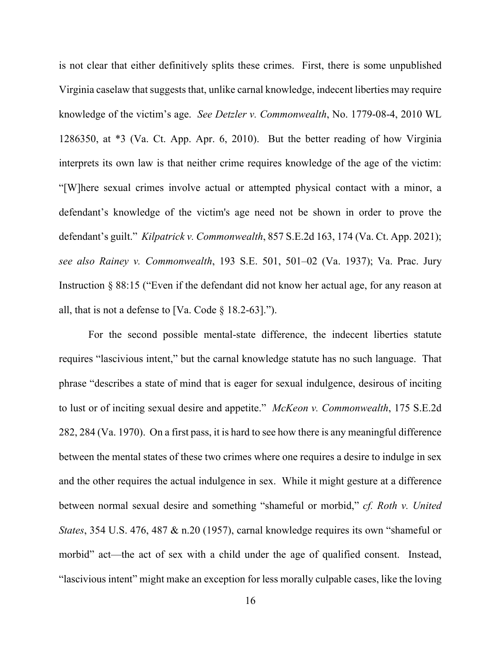is not clear that either definitively splits these crimes. First, there is some unpublished Virginia caselaw that suggests that, unlike carnal knowledge, indecent liberties may require knowledge of the victim's age. *See Detzler v. Commonwealth*, No. 1779-08-4, 2010 WL 1286350, at \*3 (Va. Ct. App. Apr. 6, 2010). But the better reading of how Virginia interprets its own law is that neither crime requires knowledge of the age of the victim: "[W]here sexual crimes involve actual or attempted physical contact with a minor, a defendant's knowledge of the victim's age need not be shown in order to prove the defendant's guilt." *Kilpatrick v. Commonwealth*, 857 S.E.2d 163, 174 (Va. Ct. App. 2021); *see also Rainey v. Commonwealth*, 193 S.E. 501, 501–02 (Va. 1937); Va. Prac. Jury Instruction § 88:15 ("Even if the defendant did not know her actual age, for any reason at all, that is not a defense to [Va. Code  $\S$  18.2-63].").

For the second possible mental-state difference, the indecent liberties statute requires "lascivious intent," but the carnal knowledge statute has no such language. That phrase "describes a state of mind that is eager for sexual indulgence, desirous of inciting to lust or of inciting sexual desire and appetite." *McKeon v. Commonwealth*, 175 S.E.2d 282, 284 (Va. 1970). On a first pass, it is hard to see how there is any meaningful difference between the mental states of these two crimes where one requires a desire to indulge in sex and the other requires the actual indulgence in sex. While it might gesture at a difference between normal sexual desire and something "shameful or morbid," *cf. Roth v. United States*, 354 U.S. 476, 487 & n.20 (1957), carnal knowledge requires its own "shameful or morbid" act—the act of sex with a child under the age of qualified consent. Instead, "lascivious intent" might make an exception for less morally culpable cases, like the loving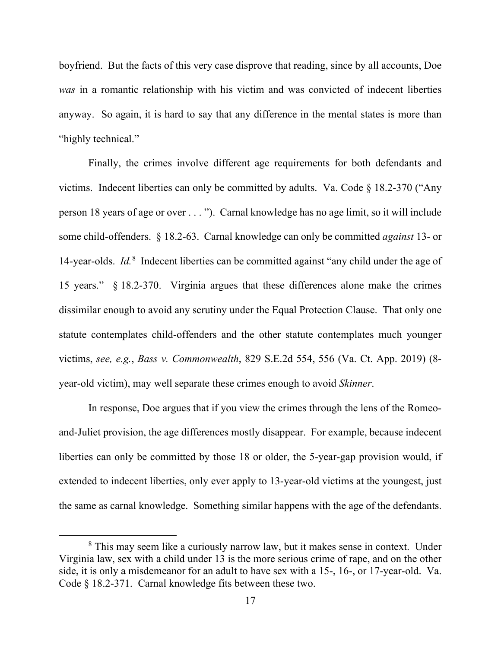boyfriend. But the facts of this very case disprove that reading, since by all accounts, Doe *was* in a romantic relationship with his victim and was convicted of indecent liberties anyway. So again, it is hard to say that any difference in the mental states is more than "highly technical."

Finally, the crimes involve different age requirements for both defendants and victims. Indecent liberties can only be committed by adults. Va. Code § 18.2-370 ("Any person 18 years of age or over . . . "). Carnal knowledge has no age limit, so it will include some child-offenders. § 18.2-63. Carnal knowledge can only be committed *against* 13- or 14-year-olds. *Id.*[8](#page-16-0) Indecent liberties can be committed against "any child under the age of 15 years." § 18.2-370. Virginia argues that these differences alone make the crimes dissimilar enough to avoid any scrutiny under the Equal Protection Clause. That only one statute contemplates child-offenders and the other statute contemplates much younger victims, *see, e.g.*, *Bass v. Commonwealth*, 829 S.E.2d 554, 556 (Va. Ct. App. 2019) (8 year-old victim), may well separate these crimes enough to avoid *Skinner*.

In response, Doe argues that if you view the crimes through the lens of the Romeoand-Juliet provision, the age differences mostly disappear. For example, because indecent liberties can only be committed by those 18 or older, the 5-year-gap provision would, if extended to indecent liberties, only ever apply to 13-year-old victims at the youngest, just the same as carnal knowledge. Something similar happens with the age of the defendants.

<span id="page-16-0"></span><sup>&</sup>lt;sup>8</sup> This may seem like a curiously narrow law, but it makes sense in context. Under Virginia law, sex with a child under 13 is the more serious crime of rape, and on the other side, it is only a misdemeanor for an adult to have sex with a 15-, 16-, or 17-year-old. Va. Code § 18.2-371. Carnal knowledge fits between these two.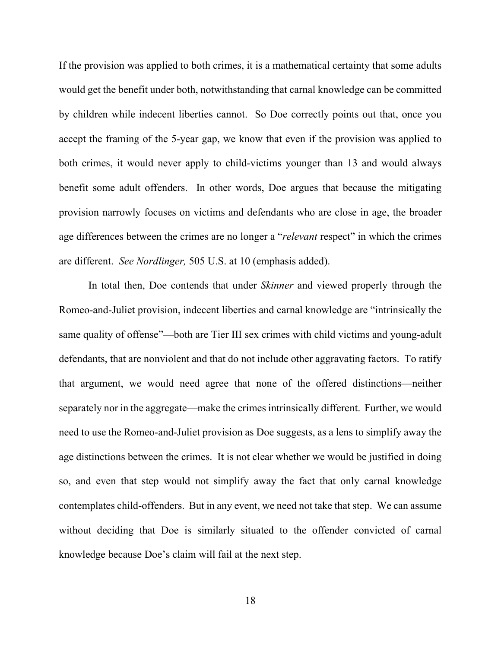If the provision was applied to both crimes, it is a mathematical certainty that some adults would get the benefit under both, notwithstanding that carnal knowledge can be committed by children while indecent liberties cannot. So Doe correctly points out that, once you accept the framing of the 5-year gap, we know that even if the provision was applied to both crimes, it would never apply to child-victims younger than 13 and would always benefit some adult offenders. In other words, Doe argues that because the mitigating provision narrowly focuses on victims and defendants who are close in age, the broader age differences between the crimes are no longer a "*relevant* respect" in which the crimes are different. *See Nordlinger,* 505 U.S. at 10 (emphasis added).

In total then, Doe contends that under *Skinner* and viewed properly through the Romeo-and-Juliet provision, indecent liberties and carnal knowledge are "intrinsically the same quality of offense"—both are Tier III sex crimes with child victims and young-adult defendants, that are nonviolent and that do not include other aggravating factors. To ratify that argument, we would need agree that none of the offered distinctions—neither separately nor in the aggregate—make the crimes intrinsically different. Further, we would need to use the Romeo-and-Juliet provision as Doe suggests, as a lens to simplify away the age distinctions between the crimes. It is not clear whether we would be justified in doing so, and even that step would not simplify away the fact that only carnal knowledge contemplates child-offenders. But in any event, we need not take that step. We can assume without deciding that Doe is similarly situated to the offender convicted of carnal knowledge because Doe's claim will fail at the next step.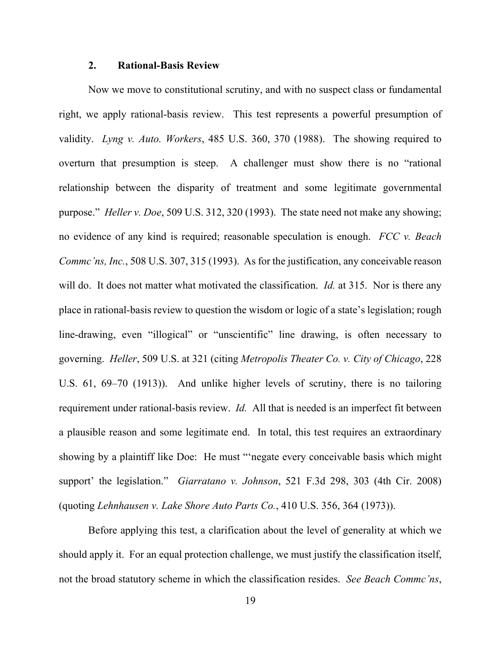## **2. Rational-Basis Review**

Now we move to constitutional scrutiny, and with no suspect class or fundamental right, we apply rational-basis review. This test represents a powerful presumption of validity. *Lyng v. Auto. Workers*, 485 U.S. 360, 370 (1988). The showing required to overturn that presumption is steep. A challenger must show there is no "rational relationship between the disparity of treatment and some legitimate governmental purpose." *Heller v. Doe*, 509 U.S. 312, 320 (1993). The state need not make any showing; no evidence of any kind is required; reasonable speculation is enough. *FCC v. Beach Commc'ns, Inc.*, 508 U.S. 307, 315 (1993). As for the justification, any conceivable reason will do. It does not matter what motivated the classification. *Id.* at 315. Nor is there any place in rational-basis review to question the wisdom or logic of a state's legislation; rough line-drawing, even "illogical" or "unscientific" line drawing, is often necessary to governing. *Heller*, 509 U.S. at 321 (citing *Metropolis Theater Co. v. City of Chicago*, 228 U.S. 61, 69–70 (1913)). And unlike higher levels of scrutiny, there is no tailoring requirement under rational-basis review. *Id.* All that is needed is an imperfect fit between a plausible reason and some legitimate end. In total, this test requires an extraordinary showing by a plaintiff like Doe: He must "'negate every conceivable basis which might support' the legislation." *Giarratano v. Johnson*, 521 F.3d 298, 303 (4th Cir. 2008) (quoting *Lehnhausen v. Lake Shore Auto Parts Co.*, 410 U.S. 356, 364 (1973)).

Before applying this test, a clarification about the level of generality at which we should apply it. For an equal protection challenge, we must justify the classification itself, not the broad statutory scheme in which the classification resides. *See Beach Commc'ns*,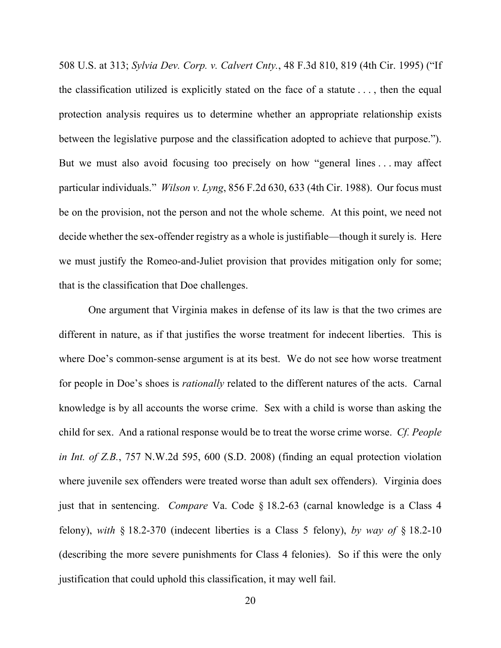508 U.S. at 313; *Sylvia Dev. Corp. v. Calvert Cnty.*, 48 F.3d 810, 819 (4th Cir. 1995) ("If the classification utilized is explicitly stated on the face of a statute  $\dots$ , then the equal protection analysis requires us to determine whether an appropriate relationship exists between the legislative purpose and the classification adopted to achieve that purpose."). But we must also avoid focusing too precisely on how "general lines . . . may affect particular individuals." *Wilson v. Lyng*, 856 F.2d 630, 633 (4th Cir. 1988). Our focus must be on the provision, not the person and not the whole scheme. At this point, we need not decide whether the sex-offender registry as a whole is justifiable—though it surely is. Here we must justify the Romeo-and-Juliet provision that provides mitigation only for some; that is the classification that Doe challenges.

One argument that Virginia makes in defense of its law is that the two crimes are different in nature, as if that justifies the worse treatment for indecent liberties. This is where Doe's common-sense argument is at its best. We do not see how worse treatment for people in Doe's shoes is *rationally* related to the different natures of the acts. Carnal knowledge is by all accounts the worse crime. Sex with a child is worse than asking the child for sex. And a rational response would be to treat the worse crime worse. *Cf. People in Int. of Z.B.*, 757 N.W.2d 595, 600 (S.D. 2008) (finding an equal protection violation where juvenile sex offenders were treated worse than adult sex offenders). Virginia does just that in sentencing. *Compare* Va. Code § 18.2-63 (carnal knowledge is a Class 4 felony), *with* § 18.2-370 (indecent liberties is a Class 5 felony), *by way of* § 18.2-10 (describing the more severe punishments for Class 4 felonies). So if this were the only justification that could uphold this classification, it may well fail.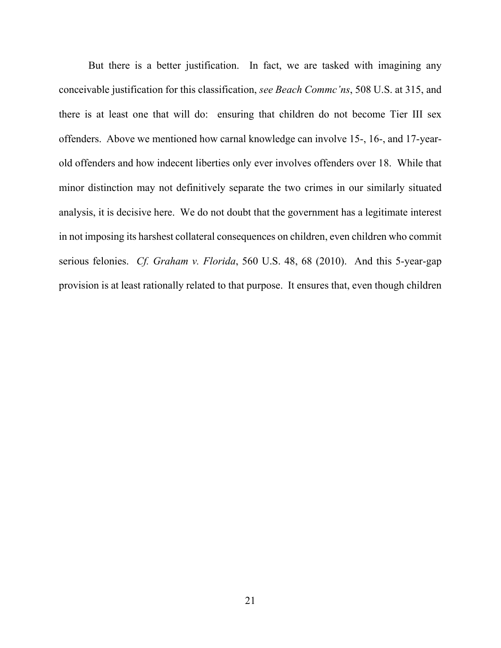But there is a better justification. In fact, we are tasked with imagining any conceivable justification for this classification, *see Beach Commc'ns*, 508 U.S. at 315, and there is at least one that will do: ensuring that children do not become Tier III sex offenders. Above we mentioned how carnal knowledge can involve 15-, 16-, and 17-yearold offenders and how indecent liberties only ever involves offenders over 18. While that minor distinction may not definitively separate the two crimes in our similarly situated analysis, it is decisive here. We do not doubt that the government has a legitimate interest in not imposing its harshest collateral consequences on children, even children who commit serious felonies. *Cf. Graham v. Florida*, 560 U.S. 48, 68 (2010). And this 5-year-gap provision is at least rationally related to that purpose. It ensures that, even though children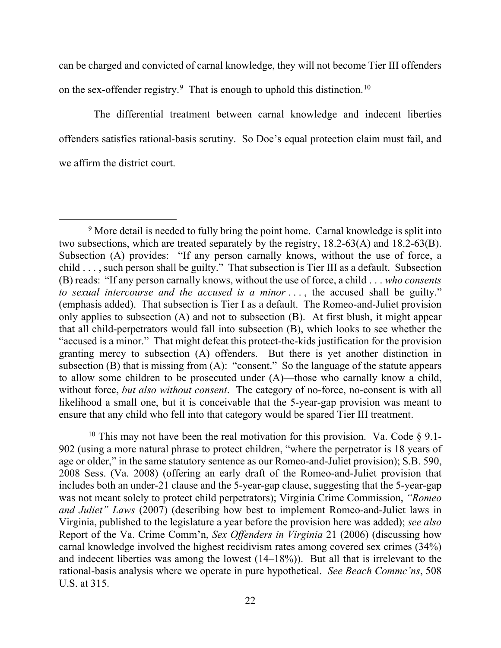can be charged and convicted of carnal knowledge, they will not become Tier III offenders on the sex-offender registry.<sup>[9](#page-21-0)</sup> That is enough to uphold this distinction.<sup>[10](#page-21-1)</sup>

 The differential treatment between carnal knowledge and indecent liberties offenders satisfies rational-basis scrutiny. So Doe's equal protection claim must fail, and we affirm the district court.

<span id="page-21-1"></span><sup>10</sup> This may not have been the real motivation for this provision. Va. Code  $\S$  9.1-902 (using a more natural phrase to protect children, "where the perpetrator is 18 years of age or older," in the same statutory sentence as our Romeo-and-Juliet provision); S.B. 590, 2008 Sess. (Va. 2008) (offering an early draft of the Romeo-and-Juliet provision that includes both an under-21 clause and the 5-year-gap clause, suggesting that the 5-year-gap was not meant solely to protect child perpetrators); Virginia Crime Commission, *"Romeo and Juliet" Laws* (2007) (describing how best to implement Romeo-and-Juliet laws in Virginia, published to the legislature a year before the provision here was added); *see also*  Report of the Va. Crime Comm'n, *Sex Offenders in Virginia* 21 (2006) (discussing how carnal knowledge involved the highest recidivism rates among covered sex crimes (34%) and indecent liberties was among the lowest (14–18%)). But all that is irrelevant to the rational-basis analysis where we operate in pure hypothetical. *See Beach Commc'ns*, 508 U.S. at 315.

<span id="page-21-0"></span><sup>&</sup>lt;sup>9</sup> More detail is needed to fully bring the point home. Carnal knowledge is split into two subsections, which are treated separately by the registry, 18.2-63(A) and 18.2-63(B). Subsection (A) provides: "If any person carnally knows, without the use of force, a child . . . , such person shall be guilty." That subsection is Tier III as a default. Subsection (B) reads: "If any person carnally knows, without the use of force, a child . . . *who consents to sexual intercourse and the accused is a minor* . . . , the accused shall be guilty." (emphasis added). That subsection is Tier I as a default. The Romeo-and-Juliet provision only applies to subsection (A) and not to subsection (B). At first blush, it might appear that all child-perpetrators would fall into subsection (B), which looks to see whether the "accused is a minor." That might defeat this protect-the-kids justification for the provision granting mercy to subsection (A) offenders. But there is yet another distinction in subsection  $(B)$  that is missing from  $(A)$ : "consent." So the language of the statute appears to allow some children to be prosecuted under (A)—those who carnally know a child, without force, *but also without consent*. The category of no-force, no-consent is with all likelihood a small one, but it is conceivable that the 5-year-gap provision was meant to ensure that any child who fell into that category would be spared Tier III treatment.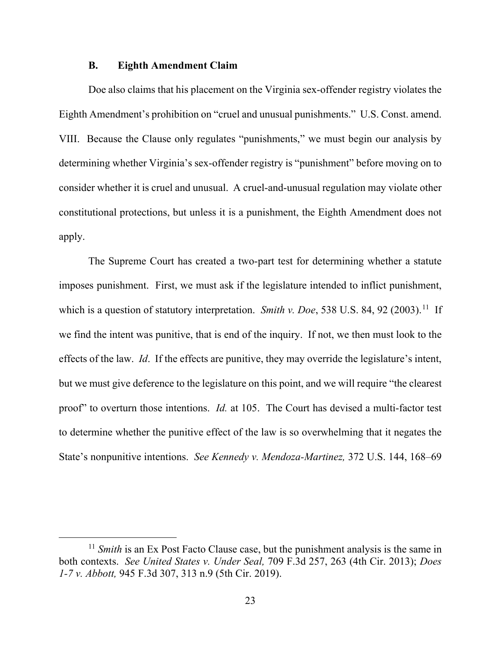### **B. Eighth Amendment Claim**

Doe also claims that his placement on the Virginia sex-offender registry violates the Eighth Amendment's prohibition on "cruel and unusual punishments." U.S. Const. amend. VIII. Because the Clause only regulates "punishments," we must begin our analysis by determining whether Virginia's sex-offender registry is "punishment" before moving on to consider whether it is cruel and unusual. A cruel-and-unusual regulation may violate other constitutional protections, but unless it is a punishment, the Eighth Amendment does not apply.

The Supreme Court has created a two-part test for determining whether a statute imposes punishment. First, we must ask if the legislature intended to inflict punishment, which is a question of statutory interpretation. *Smith v. Doe*, 538 U.S. 84, 92 (2003). [11](#page-22-0) If we find the intent was punitive, that is end of the inquiry. If not, we then must look to the effects of the law. *Id*. If the effects are punitive, they may override the legislature's intent, but we must give deference to the legislature on this point, and we will require "the clearest proof" to overturn those intentions. *Id.* at 105.The Court has devised a multi-factor test to determine whether the punitive effect of the law is so overwhelming that it negates the State's nonpunitive intentions. *See Kennedy v. Mendoza-Martinez,* 372 U.S. 144, 168–69

<span id="page-22-0"></span><sup>&</sup>lt;sup>11</sup> *Smith* is an Ex Post Facto Clause case, but the punishment analysis is the same in both contexts. *See United States v. Under Seal,* 709 F.3d 257, 263 (4th Cir. 2013); *Does 1-7 v. Abbott,* 945 F.3d 307, 313 n.9 (5th Cir. 2019).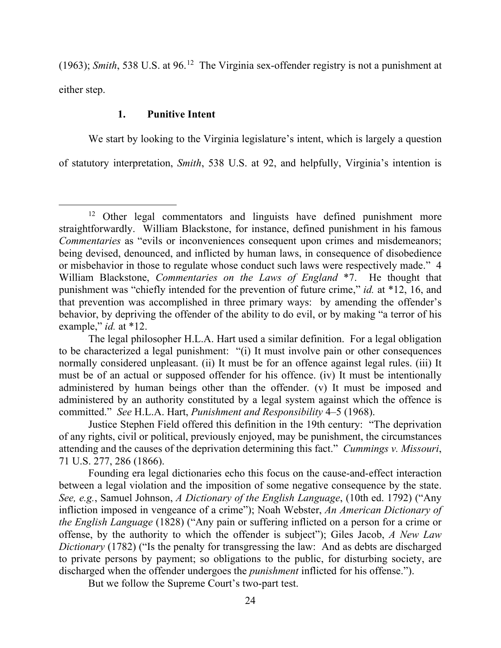(1963); *Smith*, 538 U.S. at 96.[12](#page-23-0) The Virginia sex-offender registry is not a punishment at either step.

## **1. Punitive Intent**

We start by looking to the Virginia legislature's intent, which is largely a question of statutory interpretation, *Smith*, 538 U.S. at 92, and helpfully, Virginia's intention is

But we follow the Supreme Court's two-part test.

<span id="page-23-0"></span><sup>&</sup>lt;sup>12</sup> Other legal commentators and linguists have defined punishment more straightforwardly. William Blackstone, for instance, defined punishment in his famous *Commentaries* as "evils or inconveniences consequent upon crimes and misdemeanors; being devised, denounced, and inflicted by human laws, in consequence of disobedience or misbehavior in those to regulate whose conduct such laws were respectively made." 4 William Blackstone, *Commentaries on the Laws of England* \*7. He thought that punishment was "chiefly intended for the prevention of future crime," *id.* at \*12, 16, and that prevention was accomplished in three primary ways: by amending the offender's behavior, by depriving the offender of the ability to do evil, or by making "a terror of his example," *id.* at \*12.

The legal philosopher H.L.A. Hart used a similar definition. For a legal obligation to be characterized a legal punishment: "(i) It must involve pain or other consequences normally considered unpleasant. (ii) It must be for an offence against legal rules. (iii) It must be of an actual or supposed offender for his offence. (iv) It must be intentionally administered by human beings other than the offender. (v) It must be imposed and administered by an authority constituted by a legal system against which the offence is committed." *See* H.L.A. Hart, *Punishment and Responsibility* 4–5 (1968).

Justice Stephen Field offered this definition in the 19th century: "The deprivation of any rights, civil or political, previously enjoyed, may be punishment, the circumstances attending and the causes of the deprivation determining this fact." *Cummings v. Missouri*, 71 U.S. 277, 286 (1866).

Founding era legal dictionaries echo this focus on the cause-and-effect interaction between a legal violation and the imposition of some negative consequence by the state. *See, e.g.*, Samuel Johnson, *A Dictionary of the English Language*, (10th ed. 1792) ("Any infliction imposed in vengeance of a crime"); Noah Webster, *An American Dictionary of the English Language* (1828) ("Any pain or suffering inflicted on a person for a crime or offense, by the authority to which the offender is subject"); Giles Jacob, *A New Law Dictionary* (1782) ("Is the penalty for transgressing the law: And as debts are discharged to private persons by payment; so obligations to the public, for disturbing society, are discharged when the offender undergoes the *punishment* inflicted for his offense.").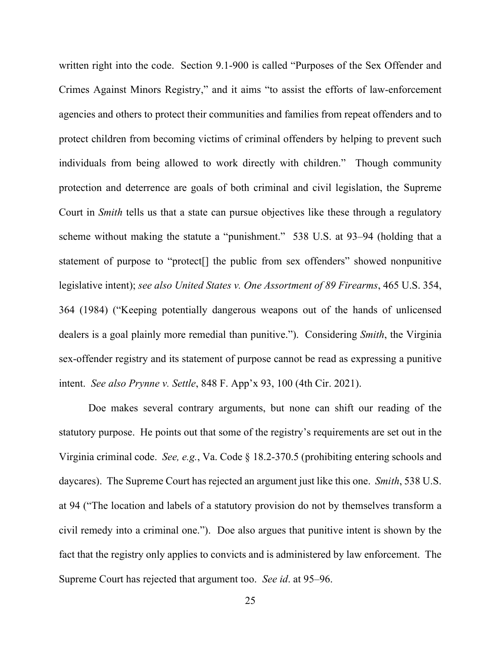written right into the code. Section 9.1-900 is called "Purposes of the Sex Offender and Crimes Against Minors Registry," and it aims "to assist the efforts of law-enforcement agencies and others to protect their communities and families from repeat offenders and to protect children from becoming victims of criminal offenders by helping to prevent such individuals from being allowed to work directly with children." Though community protection and deterrence are goals of both criminal and civil legislation, the Supreme Court in *Smith* tells us that a state can pursue objectives like these through a regulatory scheme without making the statute a "punishment." 538 U.S. at 93–94 (holding that a statement of purpose to "protect[] the public from sex offenders" showed nonpunitive legislative intent); *see also United States v. One Assortment of 89 Firearms*, 465 U.S. 354, 364 (1984) ("Keeping potentially dangerous weapons out of the hands of unlicensed dealers is a goal plainly more remedial than punitive."). Considering *Smith*, the Virginia sex-offender registry and its statement of purpose cannot be read as expressing a punitive intent. *See also Prynne v. Settle*, 848 F. App'x 93, 100 (4th Cir. 2021).

Doe makes several contrary arguments, but none can shift our reading of the statutory purpose. He points out that some of the registry's requirements are set out in the Virginia criminal code. *See, e.g.*, Va. Code § 18.2-370.5 (prohibiting entering schools and daycares). The Supreme Court has rejected an argument just like this one. *Smith*, 538 U.S. at 94 ("The location and labels of a statutory provision do not by themselves transform a civil remedy into a criminal one."). Doe also argues that punitive intent is shown by the fact that the registry only applies to convicts and is administered by law enforcement. The Supreme Court has rejected that argument too. *See id*. at 95–96.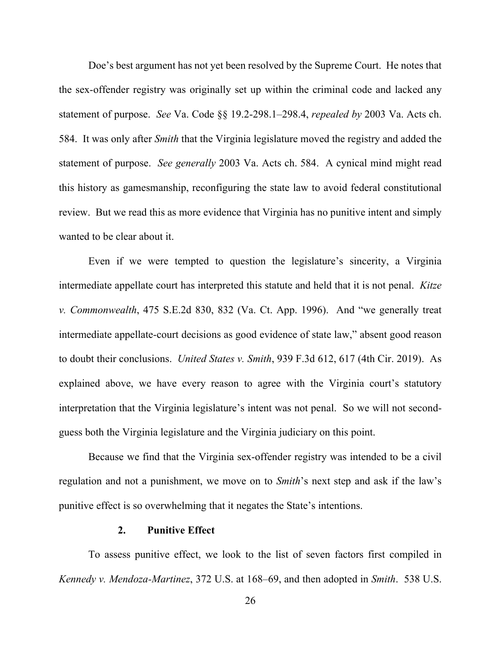Doe's best argument has not yet been resolved by the Supreme Court. He notes that the sex-offender registry was originally set up within the criminal code and lacked any statement of purpose. *See* Va. Code §§ 19.2-298.1–298.4, *repealed by* 2003 Va. Acts ch. 584. It was only after *Smith* that the Virginia legislature moved the registry and added the statement of purpose. *See generally* 2003 Va. Acts ch. 584. A cynical mind might read this history as gamesmanship, reconfiguring the state law to avoid federal constitutional review. But we read this as more evidence that Virginia has no punitive intent and simply wanted to be clear about it.

Even if we were tempted to question the legislature's sincerity, a Virginia intermediate appellate court has interpreted this statute and held that it is not penal. *Kitze v. Commonwealth*, 475 S.E.2d 830, 832 (Va. Ct. App. 1996). And "we generally treat intermediate appellate-court decisions as good evidence of state law," absent good reason to doubt their conclusions. *United States v. Smith*, 939 F.3d 612, 617 (4th Cir. 2019). As explained above, we have every reason to agree with the Virginia court's statutory interpretation that the Virginia legislature's intent was not penal. So we will not secondguess both the Virginia legislature and the Virginia judiciary on this point.

Because we find that the Virginia sex-offender registry was intended to be a civil regulation and not a punishment, we move on to *Smith*'s next step and ask if the law's punitive effect is so overwhelming that it negates the State's intentions.

### **2. Punitive Effect**

To assess punitive effect, we look to the list of seven factors first compiled in *Kennedy v. Mendoza-Martinez*, 372 U.S. at 168–69, and then adopted in *Smith*. 538 U.S.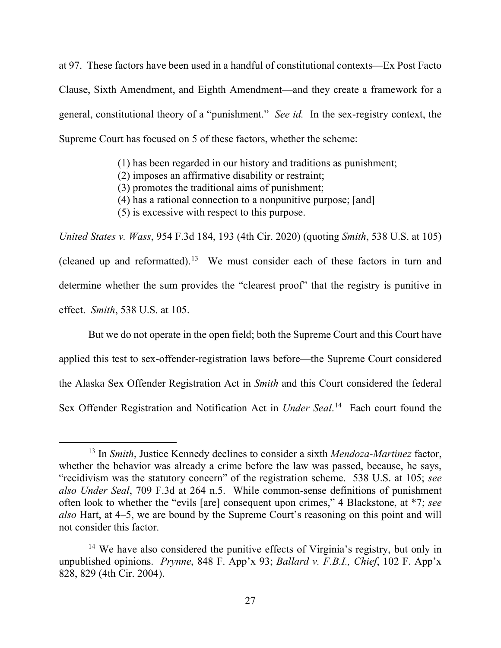at 97. These factors have been used in a handful of constitutional contexts—Ex Post Facto Clause, Sixth Amendment, and Eighth Amendment—and they create a framework for a general, constitutional theory of a "punishment." *See id.* In the sex-registry context, the Supreme Court has focused on 5 of these factors, whether the scheme:

(1) has been regarded in our history and traditions as punishment;

(2) imposes an affirmative disability or restraint;

(3) promotes the traditional aims of punishment;

(4) has a rational connection to a nonpunitive purpose; [and]

(5) is excessive with respect to this purpose.

*United States v. Wass*, 954 F.3d 184, 193 (4th Cir. 2020) (quoting *Smith*, 538 U.S. at 105) (cleaned up and reformatted).<sup>13</sup> We must consider each of these factors in turn and determine whether the sum provides the "clearest proof" that the registry is punitive in effect. *Smith*, 538 U.S. at 105.

But we do not operate in the open field; both the Supreme Court and this Court have applied this test to sex-offender-registration laws before—the Supreme Court considered the Alaska Sex Offender Registration Act in *Smith* and this Court considered the federal Sex Offender Registration and Notification Act in *Under Seal*. [14](#page-26-1) Each court found the

<span id="page-26-0"></span><sup>13</sup> In *Smith*, Justice Kennedy declines to consider a sixth *Mendoza-Martinez* factor, whether the behavior was already a crime before the law was passed, because, he says, "recidivism was the statutory concern" of the registration scheme. 538 U.S. at 105; *see also Under Seal*, 709 F.3d at 264 n.5. While common-sense definitions of punishment often look to whether the "evils [are] consequent upon crimes," 4 Blackstone, at \*7; *see also* Hart, at 4–5, we are bound by the Supreme Court's reasoning on this point and will not consider this factor.

<span id="page-26-1"></span><sup>&</sup>lt;sup>14</sup> We have also considered the punitive effects of Virginia's registry, but only in unpublished opinions. *Prynne*, 848 F. App'x 93; *Ballard v. F.B.I., Chief*, 102 F. App'x 828, 829 (4th Cir. 2004).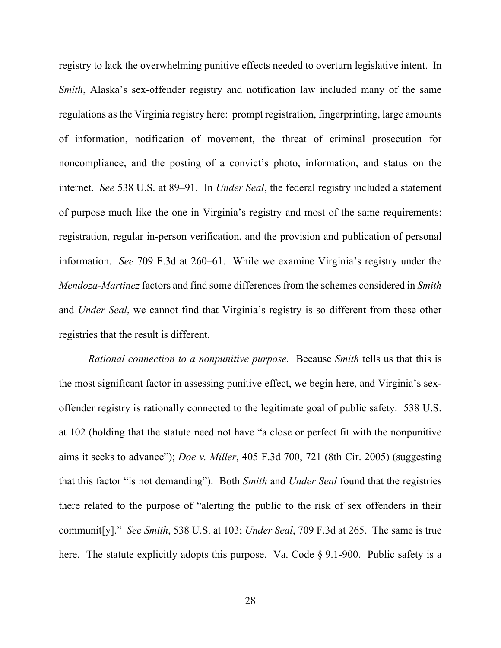registry to lack the overwhelming punitive effects needed to overturn legislative intent. In *Smith*, Alaska's sex-offender registry and notification law included many of the same regulations as the Virginia registry here: prompt registration, fingerprinting, large amounts of information, notification of movement, the threat of criminal prosecution for noncompliance, and the posting of a convict's photo, information, and status on the internet. *See* 538 U.S. at 89–91. In *Under Seal*, the federal registry included a statement of purpose much like the one in Virginia's registry and most of the same requirements: registration, regular in-person verification, and the provision and publication of personal information. *See* 709 F.3d at 260–61. While we examine Virginia's registry under the *Mendoza-Martinez* factors and find some differences from the schemes considered in *Smith*  and *Under Seal*, we cannot find that Virginia's registry is so different from these other registries that the result is different.

*Rational connection to a nonpunitive purpose.* Because *Smith* tells us that this is the most significant factor in assessing punitive effect, we begin here, and Virginia's sexoffender registry is rationally connected to the legitimate goal of public safety. 538 U.S. at 102 (holding that the statute need not have "a close or perfect fit with the nonpunitive aims it seeks to advance"); *Doe v. Miller*, 405 F.3d 700, 721 (8th Cir. 2005) (suggesting that this factor "is not demanding"). Both *Smith* and *Under Seal* found that the registries there related to the purpose of "alerting the public to the risk of sex offenders in their communit[y]." *See Smith*, 538 U.S. at 103; *Under Seal*, 709 F.3d at 265. The same is true here. The statute explicitly adopts this purpose. Va. Code § 9.1-900. Public safety is a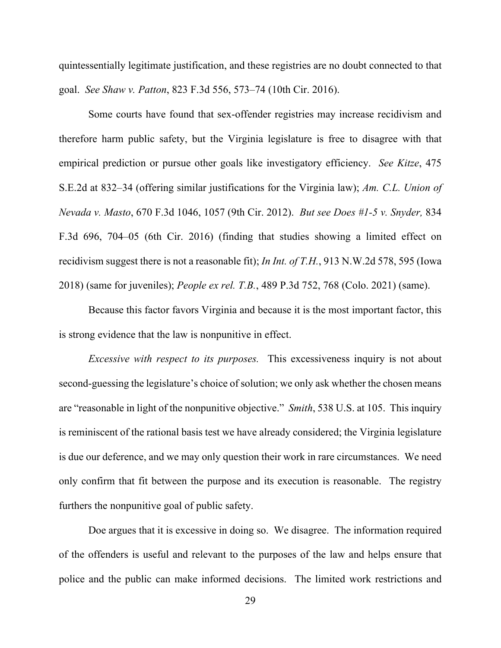quintessentially legitimate justification, and these registries are no doubt connected to that goal. *See Shaw v. Patton*, 823 F.3d 556, 573–74 (10th Cir. 2016).

Some courts have found that sex-offender registries may increase recidivism and therefore harm public safety, but the Virginia legislature is free to disagree with that empirical prediction or pursue other goals like investigatory efficiency. *See Kitze*, 475 S.E.2d at 832–34 (offering similar justifications for the Virginia law); *Am. C.L. Union of Nevada v. Masto*, 670 F.3d 1046, 1057 (9th Cir. 2012). *But see Does #1-5 v. Snyder,* 834 F.3d 696, 704–05 (6th Cir. 2016) (finding that studies showing a limited effect on recidivism suggest there is not a reasonable fit); *In Int. of T.H.*, 913 N.W.2d 578, 595 (Iowa 2018) (same for juveniles); *People ex rel. T.B.*, 489 P.3d 752, 768 (Colo. 2021) (same).

Because this factor favors Virginia and because it is the most important factor, this is strong evidence that the law is nonpunitive in effect.

*Excessive with respect to its purposes.* This excessiveness inquiry is not about second-guessing the legislature's choice of solution; we only ask whether the chosen means are "reasonable in light of the nonpunitive objective." *Smith*, 538 U.S. at 105. This inquiry is reminiscent of the rational basis test we have already considered; the Virginia legislature is due our deference, and we may only question their work in rare circumstances. We need only confirm that fit between the purpose and its execution is reasonable. The registry furthers the nonpunitive goal of public safety.

Doe argues that it is excessive in doing so. We disagree. The information required of the offenders is useful and relevant to the purposes of the law and helps ensure that police and the public can make informed decisions. The limited work restrictions and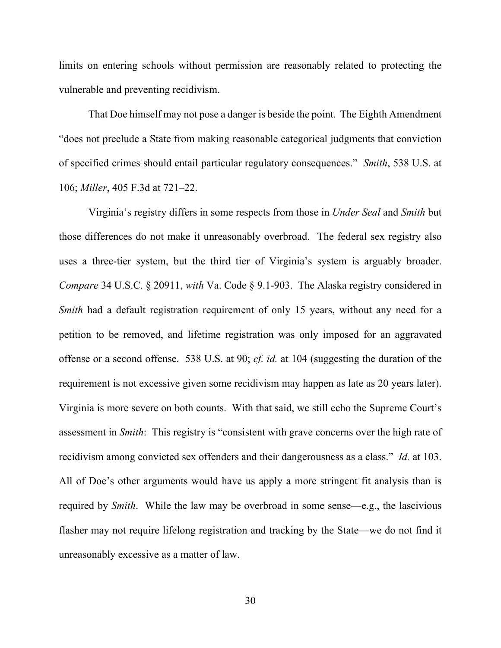limits on entering schools without permission are reasonably related to protecting the vulnerable and preventing recidivism.

That Doe himself may not pose a danger is beside the point. The Eighth Amendment "does not preclude a State from making reasonable categorical judgments that conviction of specified crimes should entail particular regulatory consequences." *Smith*, 538 U.S. at 106; *Miller*, 405 F.3d at 721–22.

Virginia's registry differs in some respects from those in *Under Seal* and *Smith* but those differences do not make it unreasonably overbroad. The federal sex registry also uses a three-tier system, but the third tier of Virginia's system is arguably broader. *Compare* 34 U.S.C. § 20911, *with* Va. Code § 9.1-903. The Alaska registry considered in *Smith* had a default registration requirement of only 15 years, without any need for a petition to be removed, and lifetime registration was only imposed for an aggravated offense or a second offense. 538 U.S. at 90; *cf. id.* at 104 (suggesting the duration of the requirement is not excessive given some recidivism may happen as late as 20 years later). Virginia is more severe on both counts. With that said, we still echo the Supreme Court's assessment in *Smith*: This registry is "consistent with grave concerns over the high rate of recidivism among convicted sex offenders and their dangerousness as a class." *Id.* at 103. All of Doe's other arguments would have us apply a more stringent fit analysis than is required by *Smith*. While the law may be overbroad in some sense—e.g., the lascivious flasher may not require lifelong registration and tracking by the State—we do not find it unreasonably excessive as a matter of law.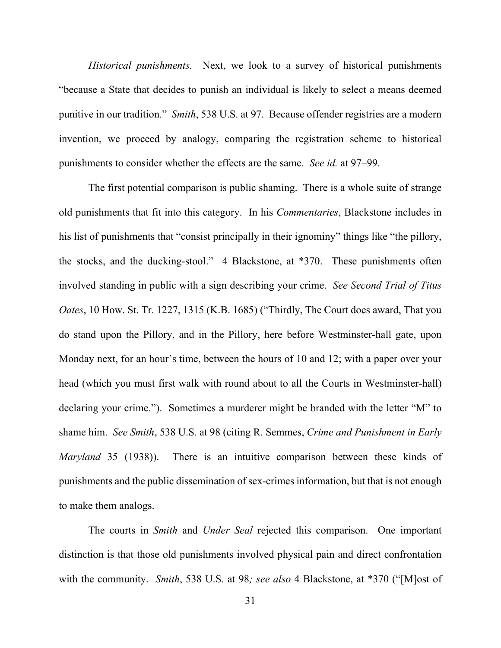*Historical punishments.* Next, we look to a survey of historical punishments "because a State that decides to punish an individual is likely to select a means deemed punitive in our tradition." *Smith*, 538 U.S. at 97. Because offender registries are a modern invention, we proceed by analogy, comparing the registration scheme to historical punishments to consider whether the effects are the same. *See id.* at 97–99.

The first potential comparison is public shaming. There is a whole suite of strange old punishments that fit into this category. In his *Commentaries*, Blackstone includes in his list of punishments that "consist principally in their ignominy" things like "the pillory, the stocks, and the ducking-stool." 4 Blackstone, at \*370. These punishments often involved standing in public with a sign describing your crime. *See Second Trial of Titus Oates*, 10 How. St. Tr. 1227, 1315 (K.B. 1685) ("Thirdly, The Court does award, That you do stand upon the Pillory, and in the Pillory, here before Westminster-hall gate, upon Monday next, for an hour's time, between the hours of 10 and 12; with a paper over your head (which you must first walk with round about to all the Courts in Westminster-hall) declaring your crime."). Sometimes a murderer might be branded with the letter "M" to shame him. *See Smith*, 538 U.S. at 98 (citing R. Semmes, *Crime and Punishment in Early Maryland* 35 (1938)). There is an intuitive comparison between these kinds of punishments and the public dissemination of sex-crimes information, but that is not enough to make them analogs.

The courts in *Smith* and *Under Seal* rejected this comparison. One important distinction is that those old punishments involved physical pain and direct confrontation with the community. *Smith*, 538 U.S. at 98*; see also* 4 Blackstone, at \*370 ("[M]ost of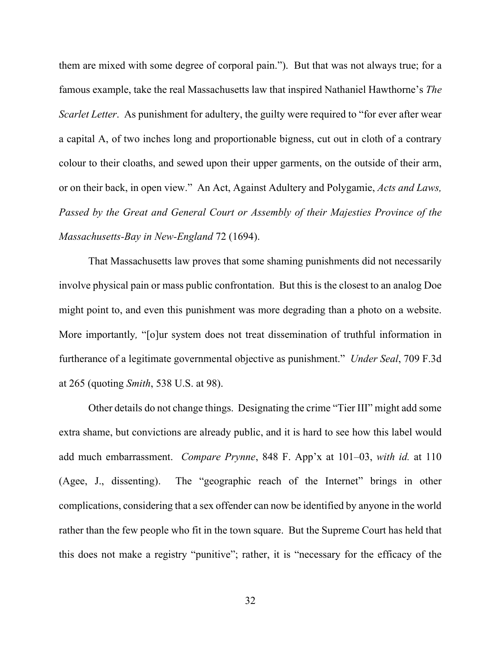them are mixed with some degree of corporal pain.").But that was not always true; for a famous example, take the real Massachusetts law that inspired Nathaniel Hawthorne's *The Scarlet Letter*. As punishment for adultery, the guilty were required to "for ever after wear a capital A, of two inches long and proportionable bigness, cut out in cloth of a contrary colour to their cloaths, and sewed upon their upper garments, on the outside of their arm, or on their back, in open view." An Act, Against Adultery and Polygamie, *Acts and Laws, Passed by the Great and General Court or Assembly of their Majesties Province of the Massachusetts-Bay in New-England* 72 (1694).

That Massachusetts law proves that some shaming punishments did not necessarily involve physical pain or mass public confrontation. But this is the closest to an analog Doe might point to, and even this punishment was more degrading than a photo on a website. More importantly*,* "[o]ur system does not treat dissemination of truthful information in furtherance of a legitimate governmental objective as punishment." *Under Seal*, 709 F.3d at 265 (quoting *Smith*, 538 U.S. at 98).

Other details do not change things. Designating the crime "Tier III" might add some extra shame, but convictions are already public, and it is hard to see how this label would add much embarrassment. *Compare Prynne*, 848 F. App'x at 101–03, *with id.* at 110 (Agee, J., dissenting). The "geographic reach of the Internet" brings in other complications, considering that a sex offender can now be identified by anyone in the world rather than the few people who fit in the town square. But the Supreme Court has held that this does not make a registry "punitive"; rather, it is "necessary for the efficacy of the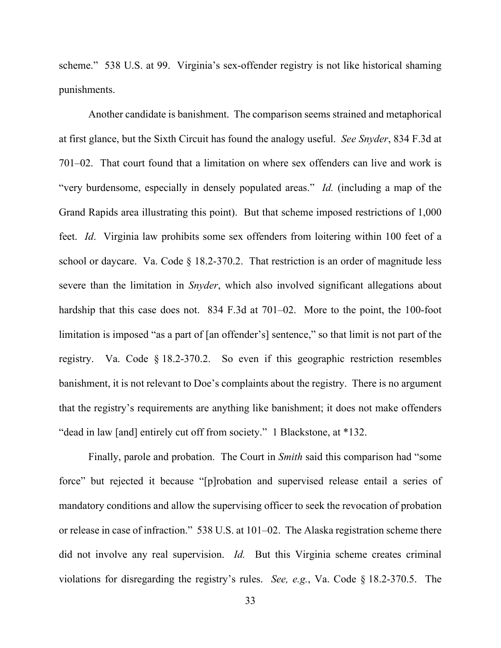scheme." 538 U.S. at 99. Virginia's sex-offender registry is not like historical shaming punishments.

Another candidate is banishment. The comparison seems strained and metaphorical at first glance, but the Sixth Circuit has found the analogy useful. *See Snyder*, 834 F.3d at 701–02. That court found that a limitation on where sex offenders can live and work is "very burdensome, especially in densely populated areas." *Id.* (including a map of the Grand Rapids area illustrating this point). But that scheme imposed restrictions of 1,000 feet. *Id*. Virginia law prohibits some sex offenders from loitering within 100 feet of a school or daycare. Va. Code  $\S$  18.2-370.2. That restriction is an order of magnitude less severe than the limitation in *Snyder*, which also involved significant allegations about hardship that this case does not. 834 F.3d at 701–02. More to the point, the 100-foot limitation is imposed "as a part of [an offender's] sentence," so that limit is not part of the registry. Va. Code § 18.2-370.2. So even if this geographic restriction resembles banishment, it is not relevant to Doe's complaints about the registry. There is no argument that the registry's requirements are anything like banishment; it does not make offenders "dead in law [and] entirely cut off from society." 1 Blackstone, at \*132.

Finally, parole and probation. The Court in *Smith* said this comparison had "some force" but rejected it because "[p]robation and supervised release entail a series of mandatory conditions and allow the supervising officer to seek the revocation of probation or release in case of infraction." 538 U.S. at 101–02. The Alaska registration scheme there did not involve any real supervision. *Id.* But this Virginia scheme creates criminal violations for disregarding the registry's rules. *See, e.g.*, Va. Code § 18.2-370.5. The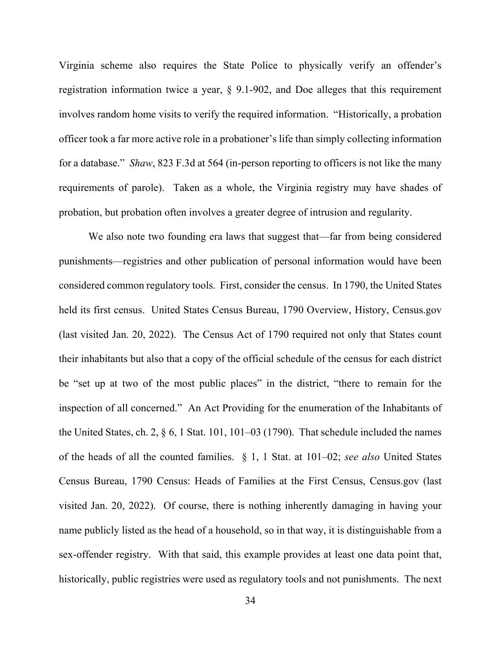Virginia scheme also requires the State Police to physically verify an offender's registration information twice a year, § 9.1-902, and Doe alleges that this requirement involves random home visits to verify the required information. "Historically, a probation officer took a far more active role in a probationer's life than simply collecting information for a database." *Shaw*, 823 F.3d at 564 (in-person reporting to officers is not like the many requirements of parole). Taken as a whole, the Virginia registry may have shades of probation, but probation often involves a greater degree of intrusion and regularity.

We also note two founding era laws that suggest that—far from being considered punishments—registries and other publication of personal information would have been considered common regulatory tools. First, consider the census. In 1790, the United States held its first census. United States Census Bureau, 1790 Overview, History, Census.gov (last visited Jan. 20, 2022). The Census Act of 1790 required not only that States count their inhabitants but also that a copy of the official schedule of the census for each district be "set up at two of the most public places" in the district, "there to remain for the inspection of all concerned." An Act Providing for the enumeration of the Inhabitants of the United States, ch. 2,  $\S 6$ , 1 Stat. 101, 101–03 (1790). That schedule included the names of the heads of all the counted families. § 1, 1 Stat. at 101–02; *see also* United States Census Bureau, 1790 Census: Heads of Families at the First Census, Census.gov (last visited Jan. 20, 2022). Of course, there is nothing inherently damaging in having your name publicly listed as the head of a household, so in that way, it is distinguishable from a sex-offender registry. With that said, this example provides at least one data point that, historically, public registries were used as regulatory tools and not punishments. The next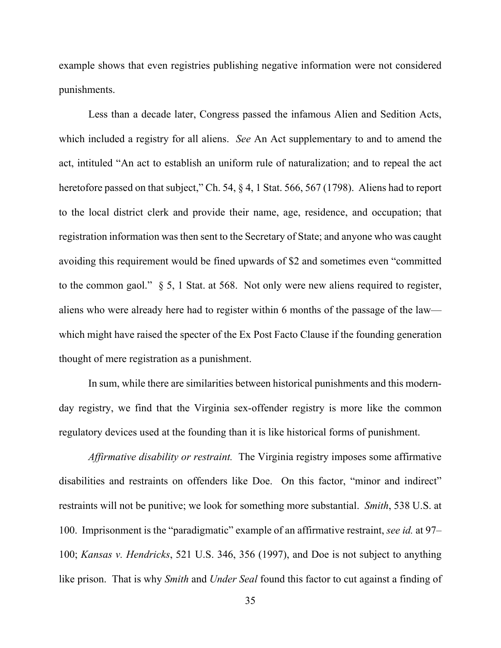example shows that even registries publishing negative information were not considered punishments.

Less than a decade later, Congress passed the infamous Alien and Sedition Acts, which included a registry for all aliens. *See* An Act supplementary to and to amend the act, intituled "An act to establish an uniform rule of naturalization; and to repeal the act heretofore passed on that subject," Ch. 54, § 4, 1 Stat. 566, 567 (1798). Aliens had to report to the local district clerk and provide their name, age, residence, and occupation; that registration information was then sent to the Secretary of State; and anyone who was caught avoiding this requirement would be fined upwards of \$2 and sometimes even "committed to the common gaol."  $\S$  5, 1 Stat. at 568. Not only were new aliens required to register, aliens who were already here had to register within 6 months of the passage of the law which might have raised the specter of the Ex Post Facto Clause if the founding generation thought of mere registration as a punishment.

In sum, while there are similarities between historical punishments and this modernday registry, we find that the Virginia sex-offender registry is more like the common regulatory devices used at the founding than it is like historical forms of punishment.

*Affirmative disability or restraint.* The Virginia registry imposes some affirmative disabilities and restraints on offenders like Doe. On this factor, "minor and indirect" restraints will not be punitive; we look for something more substantial. *Smith*, 538 U.S. at 100. Imprisonment is the "paradigmatic" example of an affirmative restraint, *see id.* at 97– 100; *Kansas v. Hendricks*, 521 U.S. 346, 356 (1997), and Doe is not subject to anything like prison. That is why *Smith* and *Under Seal* found this factor to cut against a finding of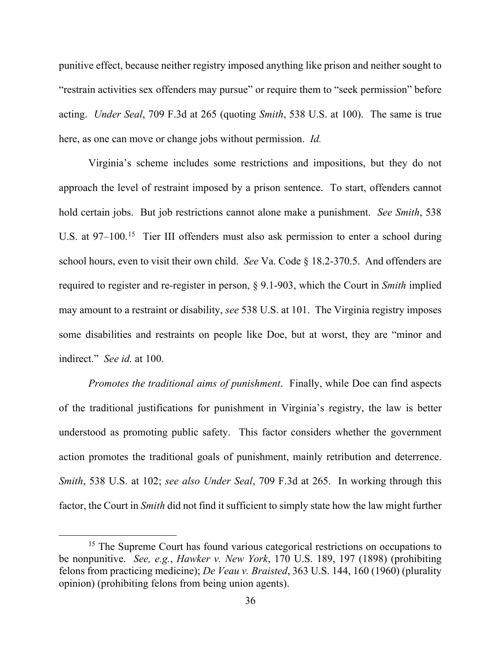punitive effect, because neither registry imposed anything like prison and neither sought to "restrain activities sex offenders may pursue" or require them to "seek permission" before acting. *Under Seal*, 709 F.3d at 265 (quoting *Smith*, 538 U.S. at 100). The same is true here, as one can move or change jobs without permission. *Id.*

Virginia's scheme includes some restrictions and impositions, but they do not approach the level of restraint imposed by a prison sentence. To start, offenders cannot hold certain jobs. But job restrictions cannot alone make a punishment. *See Smith*, 538 U.S. at 97–100.<sup>[15](#page-35-0)</sup> Tier III offenders must also ask permission to enter a school during school hours, even to visit their own child. *See* Va. Code § 18.2-370.5. And offenders are required to register and re-register in person, § 9.1-903, which the Court in *Smith* implied may amount to a restraint or disability, *see* 538 U.S. at 101. The Virginia registry imposes some disabilities and restraints on people like Doe, but at worst, they are "minor and indirect." *See id.* at 100.

*Promotes the traditional aims of punishment*. Finally, while Doe can find aspects of the traditional justifications for punishment in Virginia's registry, the law is better understood as promoting public safety. This factor considers whether the government action promotes the traditional goals of punishment, mainly retribution and deterrence. *Smith*, 538 U.S. at 102; *see also Under Seal*, 709 F.3d at 265. In working through this factor, the Court in *Smith* did not find it sufficient to simply state how the law might further

<span id="page-35-0"></span><sup>&</sup>lt;sup>15</sup> The Supreme Court has found various categorical restrictions on occupations to be nonpunitive. *See, e.g.*, *Hawker v. New York*, 170 U.S. 189, 197 (1898) (prohibiting felons from practicing medicine); *De Veau v. Braisted*, 363 U.S. 144, 160 (1960) (plurality opinion) (prohibiting felons from being union agents).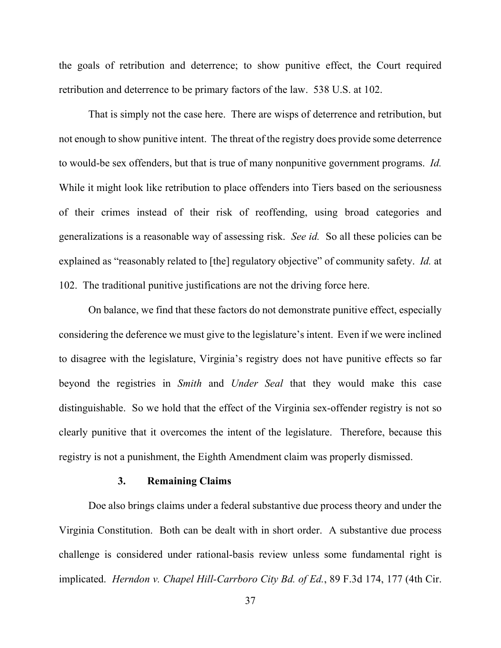the goals of retribution and deterrence; to show punitive effect, the Court required retribution and deterrence to be primary factors of the law. 538 U.S. at 102.

That is simply not the case here. There are wisps of deterrence and retribution, but not enough to show punitive intent. The threat of the registry does provide some deterrence to would-be sex offenders, but that is true of many nonpunitive government programs. *Id.*  While it might look like retribution to place offenders into Tiers based on the seriousness of their crimes instead of their risk of reoffending, using broad categories and generalizations is a reasonable way of assessing risk. *See id.* So all these policies can be explained as "reasonably related to [the] regulatory objective" of community safety. *Id.* at 102. The traditional punitive justifications are not the driving force here.

On balance, we find that these factors do not demonstrate punitive effect, especially considering the deference we must give to the legislature's intent. Even if we were inclined to disagree with the legislature, Virginia's registry does not have punitive effects so far beyond the registries in *Smith* and *Under Seal* that they would make this case distinguishable. So we hold that the effect of the Virginia sex-offender registry is not so clearly punitive that it overcomes the intent of the legislature. Therefore, because this registry is not a punishment, the Eighth Amendment claim was properly dismissed.

## **3. Remaining Claims**

Doe also brings claims under a federal substantive due process theory and under the Virginia Constitution. Both can be dealt with in short order. A substantive due process challenge is considered under rational-basis review unless some fundamental right is implicated. *Herndon v. Chapel Hill-Carrboro City Bd. of Ed.*, 89 F.3d 174, 177 (4th Cir.